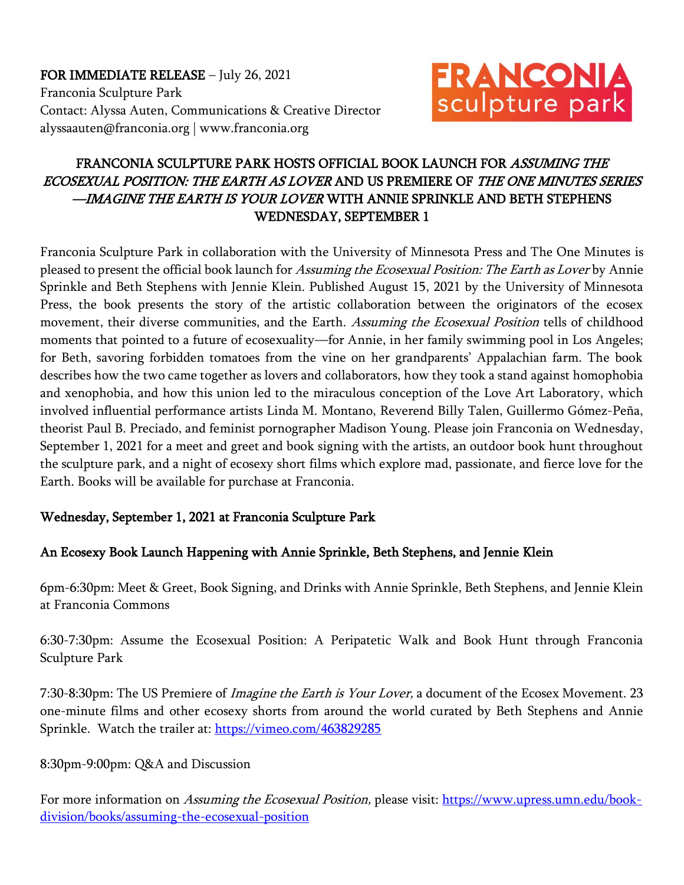FOR IMMEDIATE RELEASE – July 26, 2021 Franconia Sculpture Park Contact: Alyssa Auten, Communications & Creative Director alyssaauten@franconia.org | www.franconia.org



# FRANCONIA SCULPTURE PARK HOSTS OFFICIAL BOOK LAUNCH FOR ASSUMING THE ECOSEXUAL POSITION: THE EARTH AS LOVER AND US PREMIERE OF THE ONE MINUTES SERIES —IMAGINE THE EARTH IS YOUR LOVER WITH ANNIE SPRINKLE AND BETH STEPHENS WEDNESDAY, SEPTEMBER 1

Franconia Sculpture Park in collaboration with the University of Minnesota Press and The One Minutes is pleased to present the official book launch for Assuming the Ecosexual Position: The Earth as Lover by Annie Sprinkle and Beth Stephens with Jennie Klein. Published August 15, 2021 by the University of Minnesota Press, the book presents the story of the artistic collaboration between the originators of the ecosex movement, their diverse communities, and the Earth. Assuming the Ecosexual Position tells of childhood moments that pointed to a future of ecosexuality—for Annie, in her family swimming pool in Los Angeles; for Beth, savoring forbidden tomatoes from the vine on her grandparents' Appalachian farm. The book describes how the two came together as lovers and collaborators, how they took a stand against homophobia and xenophobia, and how this union led to the miraculous conception of the Love Art Laboratory, which involved influential performance artists Linda M. Montano, Reverend Billy Talen, Guillermo Gómez-Peña, theorist Paul B. Preciado, and feminist pornographer Madison Young. Please join Franconia on Wednesday, September 1, 2021 for a meet and greet and book signing with the artists, an outdoor book hunt throughout the sculpture park, and a night of ecosexy short films which explore mad, passionate, and fierce love for the Earth. Books will be available for purchase at Franconia.

#### Wednesday, September 1, 2021 at Franconia Sculpture Park

## An Ecosexy Book Launch Happening with Annie Sprinkle, Beth Stephens, and Jennie Klein

6pm-6:30pm: Meet & Greet, Book Signing, and Drinks with Annie Sprinkle, Beth Stephens, and Jennie Klein at Franconia Commons

6:30-7:30pm: Assume the Ecosexual Position: A Peripatetic Walk and Book Hunt through Franconia Sculpture Park

7:30-8:30pm: The US Premiere of *Imagine the Earth is Your Lover*, a document of the Ecosex Movement. 23 one-minute films and other ecosexy shorts from around the world curated by Beth Stephens and Annie Sprinkle. Watch the trailer at:<https://vimeo.com/463829285>

#### 8:30pm-9:00pm: Q&A and Discussion

For more information on Assuming the Ecosexual Position, please visit: [https://www.upress.umn.edu/book](https://www.upress.umn.edu/book-division/books/assuming-the-ecosexual-position)[division/books/assuming-the-ecosexual-position](https://www.upress.umn.edu/book-division/books/assuming-the-ecosexual-position)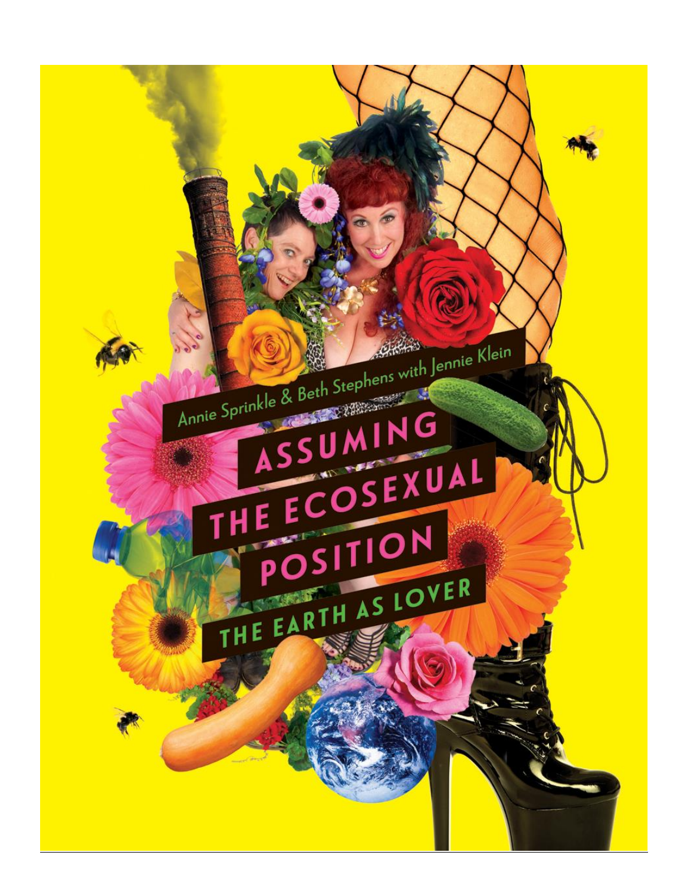